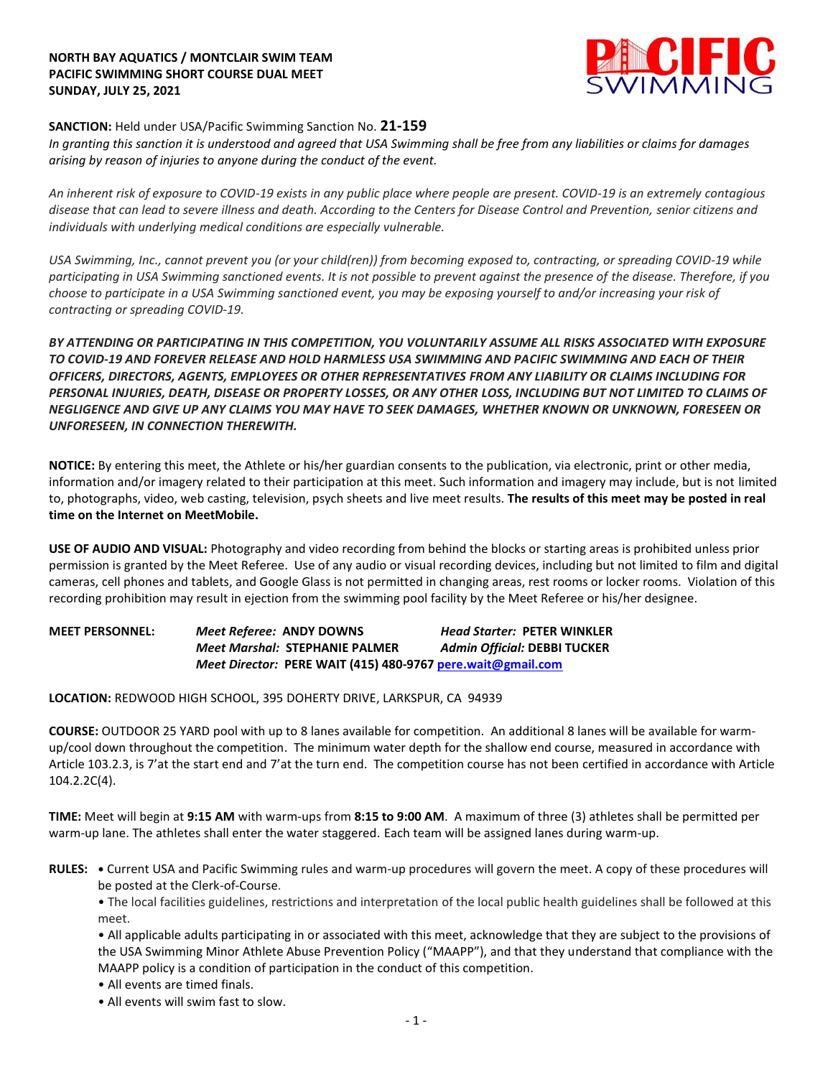# **NORTH BAY AQUATICS / MONTCLAIR SWIM TEAM PACIFIC SWIMMING SHORT COURSE DUAL MEET SUNDAY, JULY 25, 2021**



# **SANCTION:** Held under USA/Pacific Swimming Sanction No. **21-159**

*In granting this sanction it is understood and agreed that USA Swimming shall be free from any liabilities or claims for damages arising by reason of injuries to anyone during the conduct of the event.* 

*An inherent risk of exposure to COVID-19 exists in any public place where people are present. COVID-19 is an extremely contagious disease that can lead to severe illness and death. According to the Centers for Disease Control and Prevention, senior citizens and individuals with underlying medical conditions are especially vulnerable.*

*USA Swimming, Inc., cannot prevent you (or your child(ren)) from becoming exposed to, contracting, or spreading COVID-19 while participating in USA Swimming sanctioned events. It is not possible to prevent against the presence of the disease. Therefore, if you choose to participate in a USA Swimming sanctioned event, you may be exposing yourself to and/or increasing your risk of contracting or spreading COVID-19.*

*BY ATTENDING OR PARTICIPATING IN THIS COMPETITION, YOU VOLUNTARILY ASSUME ALL RISKS ASSOCIATED WITH EXPOSURE TO COVID-19 AND FOREVER RELEASE AND HOLD HARMLESS USA SWIMMING AND PACIFIC SWIMMING AND EACH OF THEIR OFFICERS, DIRECTORS, AGENTS, EMPLOYEES OR OTHER REPRESENTATIVES FROM ANY LIABILITY OR CLAIMS INCLUDING FOR PERSONAL INJURIES, DEATH, DISEASE OR PROPERTY LOSSES, OR ANY OTHER LOSS, INCLUDING BUT NOT LIMITED TO CLAIMS OF NEGLIGENCE AND GIVE UP ANY CLAIMS YOU MAY HAVE TO SEEK DAMAGES, WHETHER KNOWN OR UNKNOWN, FORESEEN OR UNFORESEEN, IN CONNECTION THEREWITH.*

**NOTICE:** By entering this meet, the Athlete or his/her guardian consents to the publication, via electronic, print or other media, information and/or imagery related to their participation at this meet. Such information and imagery may include, but is not limited to, photographs, video, web casting, television, psych sheets and live meet results. **The results of this meet may be posted in real time on the Internet on MeetMobile.**

**USE OF AUDIO AND VISUAL:** Photography and video recording from behind the blocks or starting areas is prohibited unless prior permission is granted by the Meet Referee. Use of any audio or visual recording devices, including but not limited to film and digital cameras, cell phones and tablets, and Google Glass is not permitted in changing areas, rest rooms or locker rooms. Violation of this recording prohibition may result in ejection from the swimming pool facility by the Meet Referee or his/her designee.

**MEET PERSONNEL:** *Meet Referee:* **ANDY DOWNS** *Head Starter:* **PETER WINKLER** *Meet Marshal:* **STEPHANIE PALMER** *Admin Official:* **DEBBI TUCKER** *Meet Director:* **PERE WAIT (415) 480-976[7 pere.wait@gmail.com](mailto:pere.wait@gmail.com)**

**LOCATION:** REDWOOD HIGH SCHOOL, 395 DOHERTY DRIVE, LARKSPUR, CA 94939

**COURSE:** OUTDOOR 25 YARD pool with up to 8 lanes available for competition. An additional 8 lanes will be available for warmup/cool down throughout the competition. The minimum water depth for the shallow end course, measured in accordance with Article 103.2.3, is 7'at the start end and 7'at the turn end. The competition course has not been certified in accordance with Article 104.2.2C(4).

**TIME:** Meet will begin at **9:15 AM** with warm-ups from **8:15 to 9:00 AM**. A maximum of three (3) athletes shall be permitted per warm-up lane. The athletes shall enter the water staggered. Each team will be assigned lanes during warm-up.

**RULES: •** Current USA and Pacific Swimming rules and warm-up procedures will govern the meet. A copy of these procedures will be posted at the Clerk-of-Course.

• The local facilities guidelines, restrictions and interpretation of the local public health guidelines shall be followed at this meet.

• All applicable adults participating in or associated with this meet, acknowledge that they are subject to the provisions of the USA Swimming Minor Athlete Abuse Prevention Policy ("MAAPP"), and that they understand that compliance with the MAAPP policy is a condition of participation in the conduct of this competition.

• All events are timed finals.

• All events will swim fast to slow.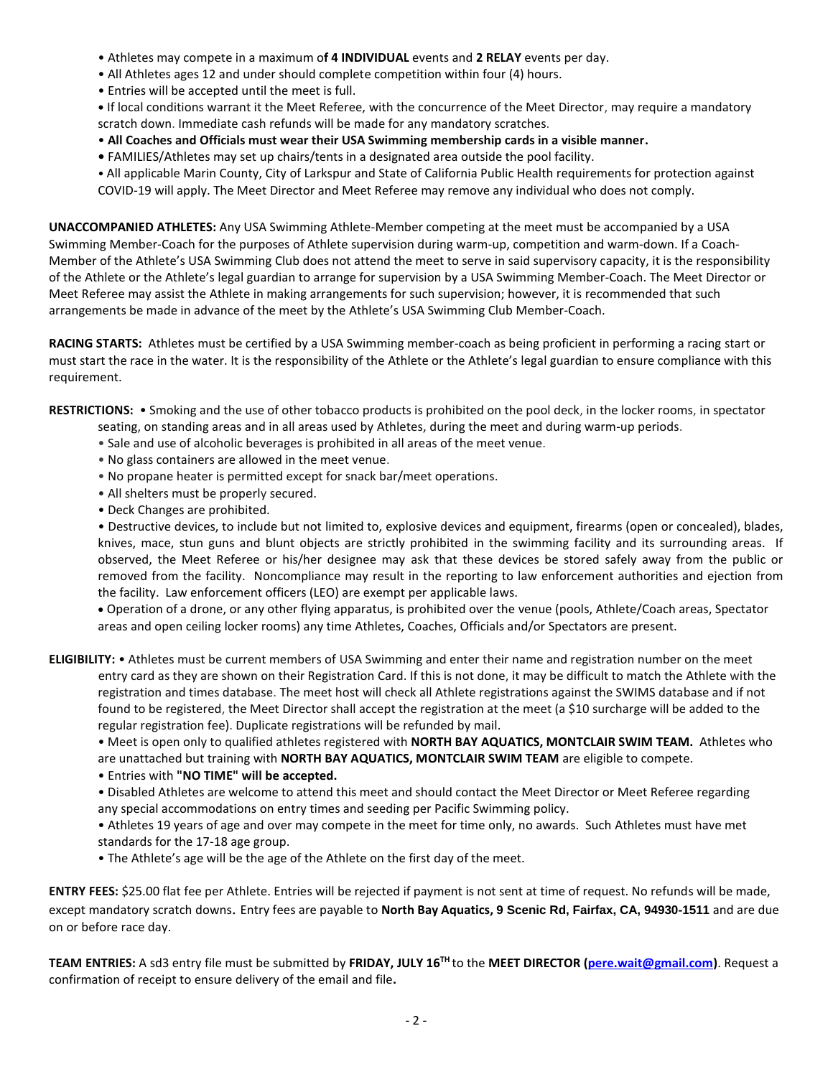- Athletes may compete in a maximum o**f 4 INDIVIDUAL** events and **2 RELAY** events per day.
- All Athletes ages 12 and under should complete competition within four (4) hours.
- Entries will be accepted until the meet is full.

**•** If local conditions warrant it the Meet Referee, with the concurrence of the Meet Director, may require a mandatory scratch down. Immediate cash refunds will be made for any mandatory scratches.

- **All Coaches and Officials must wear their USA Swimming membership cards in a visible manner.**
- FAMILIES/Athletes may set up chairs/tents in a designated area outside the pool facility.

• All applicable Marin County, City of Larkspur and State of California Public Health requirements for protection against COVID-19 will apply. The Meet Director and Meet Referee may remove any individual who does not comply.

**UNACCOMPANIED ATHLETES:** Any USA Swimming Athlete-Member competing at the meet must be accompanied by a USA Swimming Member-Coach for the purposes of Athlete supervision during warm-up, competition and warm-down. If a Coach-Member of the Athlete's USA Swimming Club does not attend the meet to serve in said supervisory capacity, it is the responsibility of the Athlete or the Athlete's legal guardian to arrange for supervision by a USA Swimming Member-Coach. The Meet Director or Meet Referee may assist the Athlete in making arrangements for such supervision; however, it is recommended that such arrangements be made in advance of the meet by the Athlete's USA Swimming Club Member-Coach.

**RACING STARTS:** Athletes must be certified by a USA Swimming member-coach as being proficient in performing a racing start or must start the race in the water. It is the responsibility of the Athlete or the Athlete's legal guardian to ensure compliance with this requirement.

**RESTRICTIONS:** • Smoking and the use of other tobacco products is prohibited on the pool deck, in the locker rooms, in spectator

- seating, on standing areas and in all areas used by Athletes, during the meet and during warm-up periods.
- Sale and use of alcoholic beverages is prohibited in all areas of the meet venue.
- No glass containers are allowed in the meet venue.
- No propane heater is permitted except for snack bar/meet operations.
- All shelters must be properly secured.
- Deck Changes are prohibited.

• Destructive devices, to include but not limited to, explosive devices and equipment, firearms (open or concealed), blades, knives, mace, stun guns and blunt objects are strictly prohibited in the swimming facility and its surrounding areas. If observed, the Meet Referee or his/her designee may ask that these devices be stored safely away from the public or removed from the facility. Noncompliance may result in the reporting to law enforcement authorities and ejection from the facility. Law enforcement officers (LEO) are exempt per applicable laws.

 Operation of a drone, or any other flying apparatus, is prohibited over the venue (pools, Athlete/Coach areas, Spectator areas and open ceiling locker rooms) any time Athletes, Coaches, Officials and/or Spectators are present.

**ELIGIBILITY:** • Athletes must be current members of USA Swimming and enter their name and registration number on the meet entry card as they are shown on their Registration Card. If this is not done, it may be difficult to match the Athlete with the registration and times database. The meet host will check all Athlete registrations against the SWIMS database and if not found to be registered, the Meet Director shall accept the registration at the meet (a \$10 surcharge will be added to the regular registration fee). Duplicate registrations will be refunded by mail.

• Meet is open only to qualified athletes registered with **NORTH BAY AQUATICS, MONTCLAIR SWIM TEAM.** Athletes who are unattached but training with **NORTH BAY AQUATICS, MONTCLAIR SWIM TEAM** are eligible to compete.

• Entries with **"NO TIME" will be accepted.**

• Disabled Athletes are welcome to attend this meet and should contact the Meet Director or Meet Referee regarding any special accommodations on entry times and seeding per Pacific Swimming policy.

• Athletes 19 years of age and over may compete in the meet for time only, no awards. Such Athletes must have met standards for the 17-18 age group.

• The Athlete's age will be the age of the Athlete on the first day of the meet.

**ENTRY FEES:** \$25.00 flat fee per Athlete. Entries will be rejected if payment is not sent at time of request. No refunds will be made, except mandatory scratch downs. Entry fees are payable to **North Bay Aquatics, 9 Scenic Rd, Fairfax, CA, 94930-1511** and are due on or before race day.

**TEAM ENTRIES:** A sd3 entry file must be submitted by **FRIDAY, JULY 16 TH** to the **MEET DIRECTOR [\(pere.wait@gmail.com\)](mailto:pere.wait@gmail.com)**. Request a confirmation of receipt to ensure delivery of the email and file**.**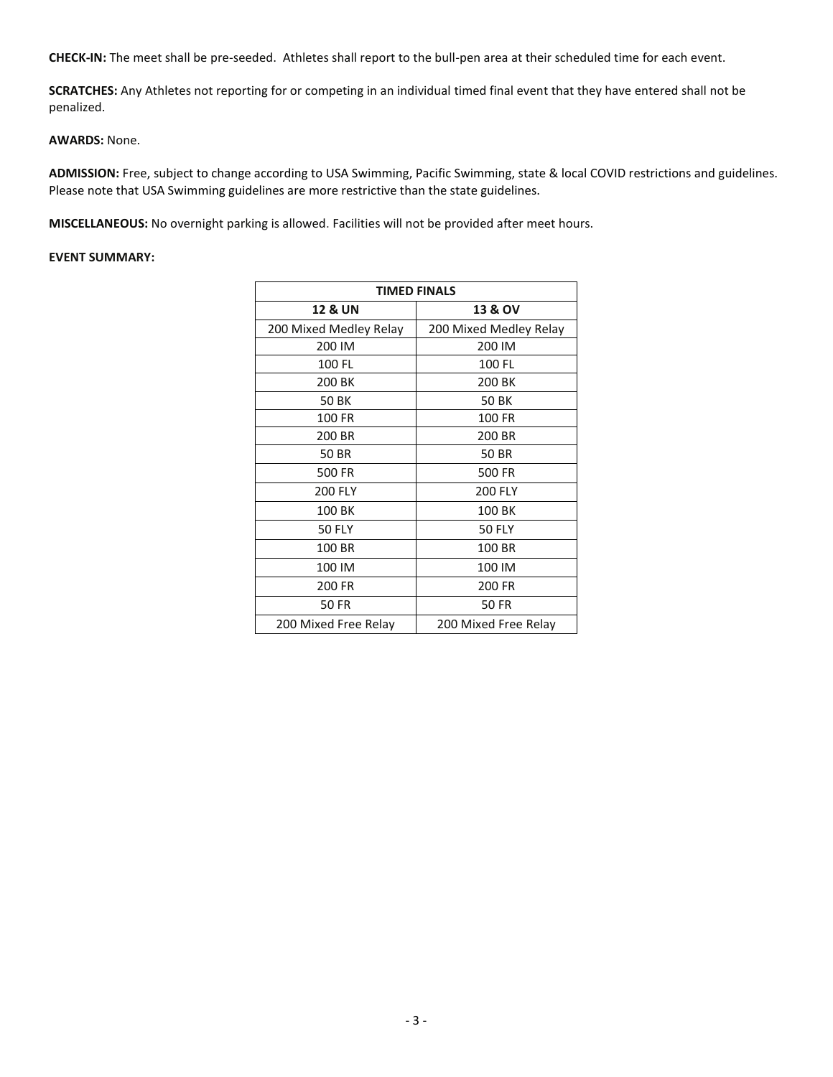**CHECK-IN:** The meet shall be pre-seeded. Athletes shall report to the bull-pen area at their scheduled time for each event.

**SCRATCHES:** Any Athletes not reporting for or competing in an individual timed final event that they have entered shall not be penalized.

#### **AWARDS:** None.

**ADMISSION:** Free, subject to change according to USA Swimming, Pacific Swimming, state & local COVID restrictions and guidelines. Please note that USA Swimming guidelines are more restrictive than the state guidelines.

**MISCELLANEOUS:** No overnight parking is allowed. Facilities will not be provided after meet hours.

### **EVENT SUMMARY:**

| <b>TIMED FINALS</b>    |                        |
|------------------------|------------------------|
| <b>12 &amp; UN</b>     | <b>13 &amp; OV</b>     |
| 200 Mixed Medley Relay | 200 Mixed Medley Relay |
| 200 IM                 | 200 IM                 |
| 100 FL                 | 100 FL                 |
| 200 BK                 | 200 BK                 |
| <b>50 BK</b>           | <b>50 BK</b>           |
| 100 FR                 | 100 FR                 |
| 200 BR                 | 200 BR                 |
| <b>50 BR</b>           | <b>50 BR</b>           |
| 500 FR                 | 500 FR                 |
| 200 FLY                | 200 FLY                |
| 100 BK                 | 100 BK                 |
| <b>50 FLY</b>          | <b>50 FLY</b>          |
| 100 BR                 | 100 BR                 |
| 100 IM                 | 100 IM                 |
| 200 FR                 | 200 FR                 |
| 50 FR                  | 50 FR                  |
| 200 Mixed Free Relay   | 200 Mixed Free Relay   |